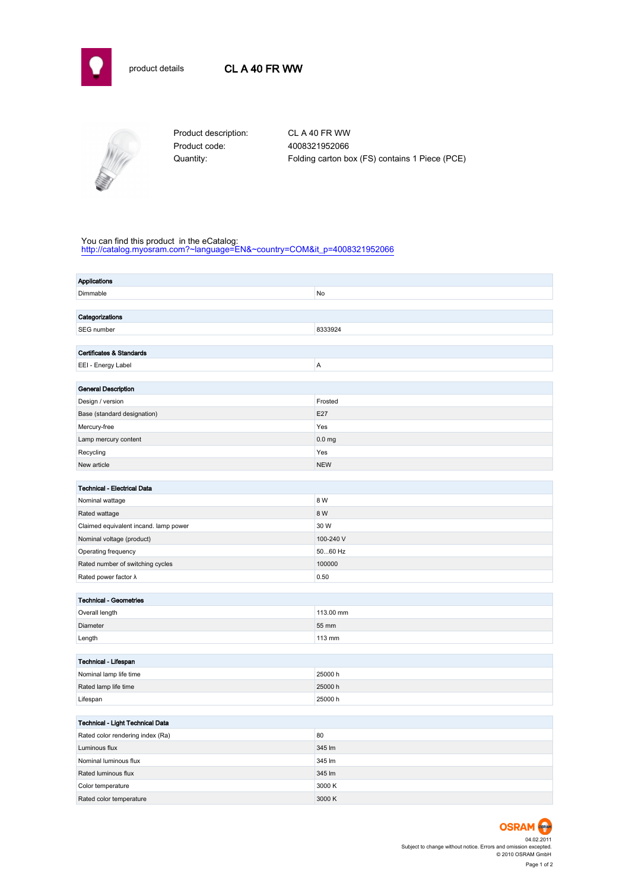



Product code: 4008321952066

Product description: CL A 40 FR WW Quantity: Folding carton box (FS) contains 1 Piece (PCE)

## You can find this product in the eCatalog:

[http://catalog.myosram.com?~language=EN&~country=COM&it\\_p=4008321952066](http://catalog.myosram.com?~language=EN&~country=COM&it_p=4008321952066)

| <b>Applications</b>                   |                   |  |  |  |
|---------------------------------------|-------------------|--|--|--|
| Dimmable                              | No                |  |  |  |
|                                       |                   |  |  |  |
| Categorizations                       |                   |  |  |  |
| SEG number                            | 8333924           |  |  |  |
|                                       |                   |  |  |  |
| Certificates & Standards              |                   |  |  |  |
| EEI - Energy Label                    | A                 |  |  |  |
|                                       |                   |  |  |  |
| <b>General Description</b>            |                   |  |  |  |
| Design / version                      | Frosted           |  |  |  |
| Base (standard designation)           | E27               |  |  |  |
| Mercury-free                          | Yes               |  |  |  |
| Lamp mercury content                  | 0.0 <sub>mg</sub> |  |  |  |
| Recycling                             | Yes               |  |  |  |
| New article                           | <b>NEW</b>        |  |  |  |
| <b>Technical - Electrical Data</b>    |                   |  |  |  |
|                                       | 8 W               |  |  |  |
| Nominal wattage                       |                   |  |  |  |
| Rated wattage                         | 8 W<br>30 W       |  |  |  |
| Claimed equivalent incand. lamp power |                   |  |  |  |
| Nominal voltage (product)             | 100-240 V         |  |  |  |
| Operating frequency                   | 5060 Hz<br>100000 |  |  |  |
| Rated number of switching cycles      | 0.50              |  |  |  |
| Rated power factor $\lambda$          |                   |  |  |  |
| <b>Technical - Geometries</b>         |                   |  |  |  |
| Overall length                        | 113.00 mm         |  |  |  |
| Diameter                              | 55 mm             |  |  |  |
| Length                                | 113 mm            |  |  |  |
|                                       |                   |  |  |  |
| Technical - Lifespan                  |                   |  |  |  |
| Nominal lamp life time                | 25000h            |  |  |  |
| Rated lamp life time                  | 25000h            |  |  |  |
| Lifespan                              | 25000h            |  |  |  |
|                                       |                   |  |  |  |
| Technical - Light Technical Data      |                   |  |  |  |
| Rated color rendering index (Ra)      | 80                |  |  |  |
| Luminous flux                         | 345 lm            |  |  |  |
| Nominal luminous flux                 | 345 lm            |  |  |  |
| Rated luminous flux                   | 345 lm            |  |  |  |
| Color temperature                     | 3000 K            |  |  |  |
| Rated color temperature               | 3000 K            |  |  |  |

04.02.2011 Subject to change without notice. Errors and omission excepted. © 2010 OSRAM GmbH Page 1 of 2

**OSRAM**